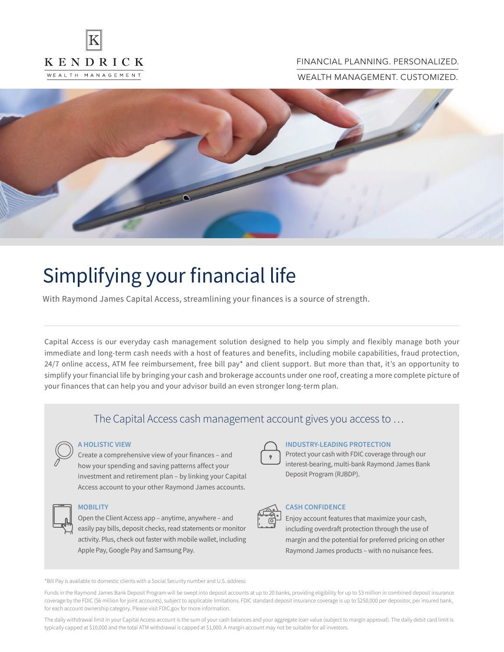

## FINANCIAL PLANNING. PERSONALIZED.

WEALTH MANAGEMENT. CUSTOMIZED.



# Simplifying your financial life

With Raymond James Capital Access, streamlining your finances is a source of strength.

Capital Access is our everyday cash management solution designed to help you simply and flexibly manage both your immediate and long-term cash needs with a host of features and benefits, including mobile capabilities, fraud protection, 24/7 online access, ATM fee reimbursement, free bill pay\* and client support. But more than that, it's an opportunity to simplify your financial life by bringing your cash and brokerage accounts under one roof, creating a more complete picture of your finances that can help you and your advisor build an even stronger long-term plan.

# The Capital Access cash management account gives you access to …



#### **A HOLISTIC VIEW**

Create a comprehensive view of your finances – and how your spending and saving patterns affect your investment and retirement plan – by linking your Capital Access account to your other Raymond James accounts.



#### **MOBILITY**

Open the Client Access app – anytime, anywhere – and easily pay bills, deposit checks, read statements or monitor activity. Plus, check out faster with mobile wallet, including Apple Pay, Google Pay and Samsung Pay.



#### **INDUSTRY-LEADING PROTECTION**

Protect your cash with FDIC coverage through our interest-bearing, multi-bank Raymond James Bank Deposit Program (RJBDP).



## **CASH CONFIDENCE**

Enjoy account features that maximize your cash, including overdraft protection through the use of margin and the potential for preferred pricing on other Raymond James products – with no nuisance fees.

\*Bill Pay is available to domestic clients with a Social Security number and U.S. address

Funds in the Raymond James Bank Deposit Program will be swept into deposit accounts at up to 20 banks, providing eligibility for up to \$3 million in combined deposit insurance coverage by the FDIC (\$6 million for joint accounts), subject to applicable limitations. FDIC standard deposit insurance coverage is up to \$250,000 per depositor, per insured bank, for each account ownership category. Please visit FDIC.gov for more information.

The daily withdrawal limit in your Capital Access account is the sum of your cash balances and your aggregate loan value (subject to margin approval). The daily debit card limit is typically capped at \$10,000 and the total ATM withdrawal is capped at \$1,000. A margin account may not be suitable for all investors.